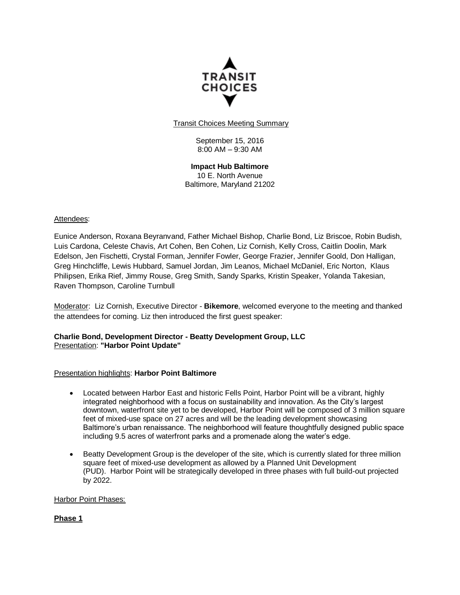

**Transit Choices Meeting Summary** 

September 15, 2016 8:00 AM – 9:30 AM

**Impact Hub Baltimore** 10 E. North Avenue Baltimore, Maryland 21202

## Attendees:

Eunice Anderson, Roxana Beyranvand, Father Michael Bishop, Charlie Bond, Liz Briscoe, Robin Budish, Luis Cardona, Celeste Chavis, Art Cohen, Ben Cohen, Liz Cornish, Kelly Cross, Caitlin Doolin, Mark Edelson, Jen Fischetti, Crystal Forman, Jennifer Fowler, George Frazier, Jennifer Goold, Don Halligan, Greg Hinchcliffe, Lewis Hubbard, Samuel Jordan, Jim Leanos, Michael McDaniel, Eric Norton, Klaus Philipsen, Erika Rief, Jimmy Rouse, Greg Smith, Sandy Sparks, Kristin Speaker, Yolanda Takesian, Raven Thompson, Caroline Turnbull

Moderator: Liz Cornish, Executive Director - **Bikemore**, welcomed everyone to the meeting and thanked the attendees for coming. Liz then introduced the first guest speaker:

### **Charlie Bond, Development Director - Beatty Development Group, LLC** Presentation: **"Harbor Point Update"**

## Presentation highlights: **Harbor Point Baltimore**

- Located between Harbor East and historic Fells Point, Harbor Point will be a vibrant, highly integrated neighborhood with a focus on sustainability and innovation. As the City's largest downtown, waterfront site yet to be developed, Harbor Point will be composed of 3 million square feet of mixed-use space on 27 acres and will be the leading development showcasing Baltimore's urban renaissance. The neighborhood will feature thoughtfully designed public space including 9.5 acres of waterfront parks and a promenade along the water's edge.
- Beatty Development Group is the developer of the site, which is currently slated for three million square feet of mixed-use development as allowed by a Planned Unit Development (PUD). Harbor Point will be strategically developed in three phases with full build-out projected by 2022.

Harbor Point Phases:

**Phase 1**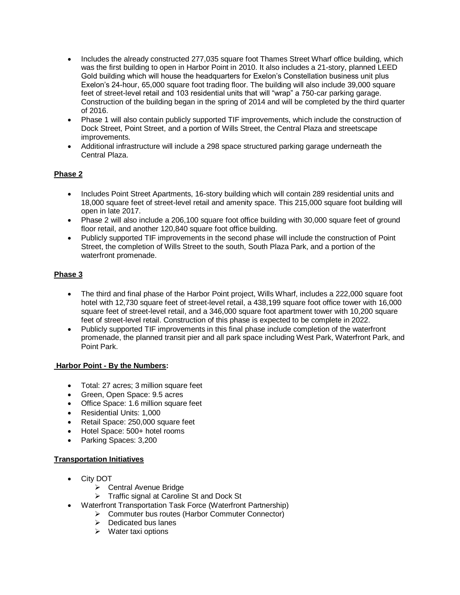- Includes the already constructed 277,035 square foot Thames Street Wharf office building, which was the first building to open in Harbor Point in 2010. It also includes a 21-story, planned LEED Gold building which will house the headquarters for Exelon's Constellation business unit plus Exelon's 24-hour, 65,000 square foot trading floor. The building will also include 39,000 square feet of street-level retail and 103 residential units that will "wrap" a 750-car parking garage. Construction of the building began in the spring of 2014 and will be completed by the third quarter of 2016.
- Phase 1 will also contain publicly supported TIF improvements, which include the construction of Dock Street, Point Street, and a portion of Wills Street, the Central Plaza and streetscape improvements.
- Additional infrastructure will include a 298 space structured parking garage underneath the Central Plaza.

## **Phase 2**

- Includes Point Street Apartments, 16-story building which will contain 289 residential units and 18,000 square feet of street-level retail and amenity space. This 215,000 square foot building will open in late 2017.
- Phase 2 will also include a 206,100 square foot office building with 30,000 square feet of ground floor retail, and another 120,840 square foot office building.
- Publicly supported TIF improvements in the second phase will include the construction of Point Street, the completion of Wills Street to the south, South Plaza Park, and a portion of the waterfront promenade.

# **Phase 3**

- The third and final phase of the Harbor Point project, Wills Wharf, includes a 222,000 square foot hotel with 12,730 square feet of street-level retail, a 438,199 square foot office tower with 16,000 square feet of street-level retail, and a 346,000 square foot apartment tower with 10,200 square feet of street-level retail. Construction of this phase is expected to be complete in 2022.
- Publicly supported TIF improvements in this final phase include completion of the waterfront promenade, the planned transit pier and all park space including West Park, Waterfront Park, and Point Park.

## **Harbor Point - By the Numbers:**

- Total: 27 acres; 3 million square feet
- Green, Open Space: 9.5 acres
- Office Space: 1.6 million square feet
- Residential Units: 1,000
- Retail Space: 250,000 square feet
- Hotel Space: 500+ hotel rooms
- Parking Spaces: 3,200

## **Transportation Initiatives**

- City DOT
	- Central Avenue Bridge
	- > Traffic signal at Caroline St and Dock St
- Waterfront Transportation Task Force (Waterfront Partnership)
	- ▶ Commuter bus routes (Harbor Commuter Connector)
		- $\triangleright$  Dedicated bus lanes
		- $\triangleright$  Water taxi options